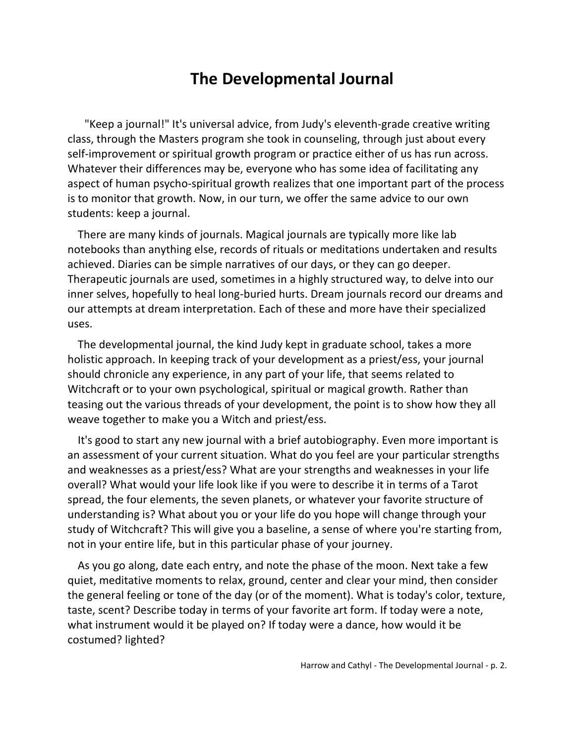## **The Developmental Journal**

"Keep a journal!" It's universal advice, from Judy's eleventh-grade creative writing class, through the Masters program she took in counseling, through just about every self-improvement or spiritual growth program or practice either of us has run across. Whatever their differences may be, everyone who has some idea of facilitating any aspect of human psycho-spiritual growth realizes that one important part of the process is to monitor that growth. Now, in our turn, we offer the same advice to our own students: keep a journal.

There are many kinds of journals. Magical journals are typically more like lab notebooks than anything else, records of rituals or meditations undertaken and results achieved. Diaries can be simple narratives of our days, or they can go deeper. Therapeutic journals are used, sometimes in a highly structured way, to delve into our inner selves, hopefully to heal long-buried hurts. Dream journals record our dreams and our attempts at dream interpretation. Each of these and more have their specialized uses.

The developmental journal, the kind Judy kept in graduate school, takes a more holistic approach. In keeping track of your development as a priest/ess, your journal should chronicle any experience, in any part of your life, that seems related to Witchcraft or to your own psychological, spiritual or magical growth. Rather than teasing out the various threads of your development, the point is to show how they all weave together to make you a Witch and priest/ess.

It's good to start any new journal with a brief autobiography. Even more important is an assessment of your current situation. What do you feel are your particular strengths and weaknesses as a priest/ess? What are your strengths and weaknesses in your life overall? What would your life look like if you were to describe it in terms of a Tarot spread, the four elements, the seven planets, or whatever your favorite structure of understanding is? What about you or your life do you hope will change through your study of Witchcraft? This will give you a baseline, a sense of where you're starting from, not in your entire life, but in this particular phase of your journey.

As you go along, date each entry, and note the phase of the moon. Next take a few quiet, meditative moments to relax, ground, center and clear your mind, then consider the general feeling or tone of the day (or of the moment). What is today's color, texture, taste, scent? Describe today in terms of your favorite art form. If today were a note, what instrument would it be played on? If today were a dance, how would it be costumed? lighted?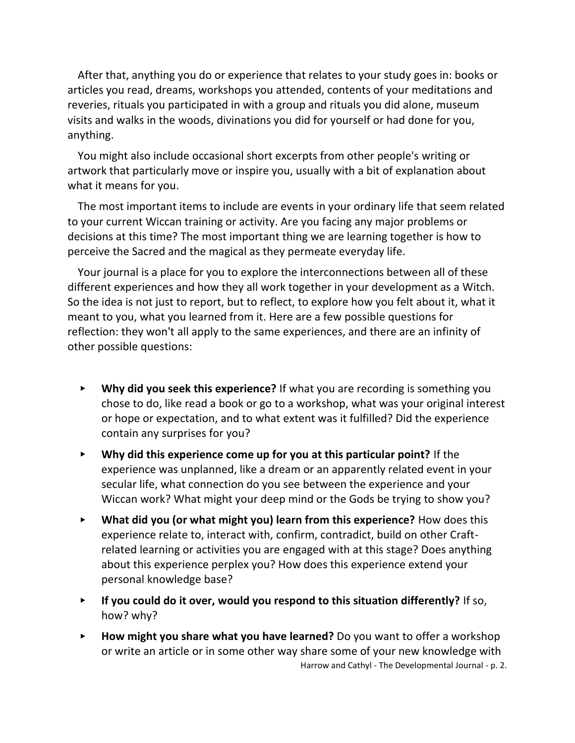After that, anything you do or experience that relates to your study goes in: books or articles you read, dreams, workshops you attended, contents of your meditations and reveries, rituals you participated in with a group and rituals you did alone, museum visits and walks in the woods, divinations you did for yourself or had done for you, anything.

You might also include occasional short excerpts from other people's writing or artwork that particularly move or inspire you, usually with a bit of explanation about what it means for you.

The most important items to include are events in your ordinary life that seem related to your current Wiccan training or activity. Are you facing any major problems or decisions at this time? The most important thing we are learning together is how to perceive the Sacred and the magical as they permeate everyday life.

Your journal is a place for you to explore the interconnections between all of these different experiences and how they all work together in your development as a Witch. So the idea is not just to report, but to reflect, to explore how you felt about it, what it meant to you, what you learned from it. Here are a few possible questions for reflection: they won't all apply to the same experiences, and there are an infinity of other possible questions:

- ▸ **Why did you seek this experience?** If what you are recording is something you chose to do, like read a book or go to a workshop, what was your original interest or hope or expectation, and to what extent was it fulfilled? Did the experience contain any surprises for you?
- ▸ **Why did this experience come up for you at this particular point?** If the experience was unplanned, like a dream or an apparently related event in your secular life, what connection do you see between the experience and your Wiccan work? What might your deep mind or the Gods be trying to show you?
- ▸ **What did you (or what might you) learn from this experience?** How does this experience relate to, interact with, confirm, contradict, build on other Craftrelated learning or activities you are engaged with at this stage? Does anything about this experience perplex you? How does this experience extend your personal knowledge base?
- ▸ **If you could do it over, would you respond to this situation differently?** If so, how? why?
- Harrow and Cathyl The Developmental Journal p. 2. ▸ **How might you share what you have learned?** Do you want to offer a workshop or write an article or in some other way share some of your new knowledge with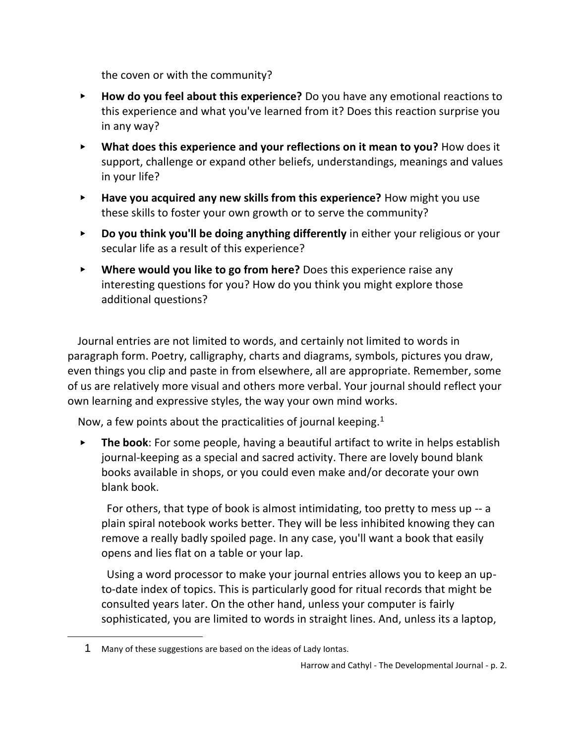the coven or with the community?

- ▸ **How do you feel about this experience?** Do you have any emotional reactions to this experience and what you've learned from it? Does this reaction surprise you in any way?
- ▸ **What does this experience and your reflections on it mean to you?** How does it support, challenge or expand other beliefs, understandings, meanings and values in your life?
- ▸ **Have you acquired any new skills from this experience?** How might you use these skills to foster your own growth or to serve the community?
- ▸ **Do you think you'll be doing anything differently** in either your religious or your secular life as a result of this experience?
- ▸ **Where would you like to go from here?** Does this experience raise any interesting questions for you? How do you think you might explore those additional questions?

Journal entries are not limited to words, and certainly not limited to words in paragraph form. Poetry, calligraphy, charts and diagrams, symbols, pictures you draw, even things you clip and paste in from elsewhere, all are appropriate. Remember, some of us are relatively more visual and others more verbal. Your journal should reflect your own learning and expressive styles, the way your own mind works.

Now, a few points about the practicalities of journal keeping.<sup>1</sup>

▸ **The book**: For some people, having a beautiful artifact to write in helps establish journal-keeping as a special and sacred activity. There are lovely bound blank books available in shops, or you could even make and/or decorate your own blank book.

 For others, that type of book is almost intimidating, too pretty to mess up -- a plain spiral notebook works better. They will be less inhibited knowing they can remove a really badly spoiled page. In any case, you'll want a book that easily opens and lies flat on a table or your lap.

 Using a word processor to make your journal entries allows you to keep an upto-date index of topics. This is particularly good for ritual records that might be consulted years later. On the other hand, unless your computer is fairly sophisticated, you are limited to words in straight lines. And, unless its a laptop,

<sup>1</sup> Many of these suggestions are based on the ideas of Lady Iontas.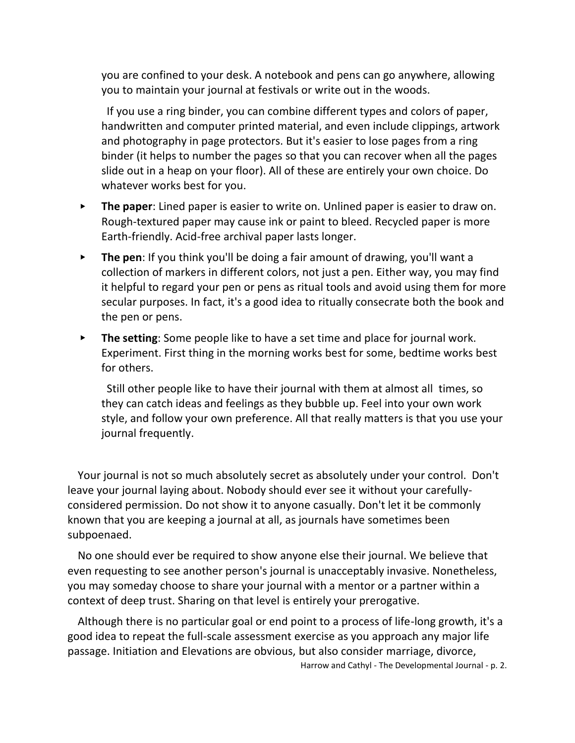you are confined to your desk. A notebook and pens can go anywhere, allowing you to maintain your journal at festivals or write out in the woods.

 If you use a ring binder, you can combine different types and colors of paper, handwritten and computer printed material, and even include clippings, artwork and photography in page protectors. But it's easier to lose pages from a ring binder (it helps to number the pages so that you can recover when all the pages slide out in a heap on your floor). All of these are entirely your own choice. Do whatever works best for you.

- ▸ **The paper**: Lined paper is easier to write on. Unlined paper is easier to draw on. Rough-textured paper may cause ink or paint to bleed. Recycled paper is more Earth-friendly. Acid-free archival paper lasts longer.
- ▸ **The pen**: If you think you'll be doing a fair amount of drawing, you'll want a collection of markers in different colors, not just a pen. Either way, you may find it helpful to regard your pen or pens as ritual tools and avoid using them for more secular purposes. In fact, it's a good idea to ritually consecrate both the book and the pen or pens.
- ▸ **The setting**: Some people like to have a set time and place for journal work. Experiment. First thing in the morning works best for some, bedtime works best for others.

 Still other people like to have their journal with them at almost all times, so they can catch ideas and feelings as they bubble up. Feel into your own work style, and follow your own preference. All that really matters is that you use your journal frequently.

Your journal is not so much absolutely secret as absolutely under your control. Don't leave your journal laying about. Nobody should ever see it without your carefullyconsidered permission. Do not show it to anyone casually. Don't let it be commonly known that you are keeping a journal at all, as journals have sometimes been subpoenaed.

No one should ever be required to show anyone else their journal. We believe that even requesting to see another person's journal is unacceptably invasive. Nonetheless, you may someday choose to share your journal with a mentor or a partner within a context of deep trust. Sharing on that level is entirely your prerogative.

Although there is no particular goal or end point to a process of life-long growth, it's a good idea to repeat the full-scale assessment exercise as you approach any major life passage. Initiation and Elevations are obvious, but also consider marriage, divorce,

Harrow and Cathyl - The Developmental Journal - p. 2.